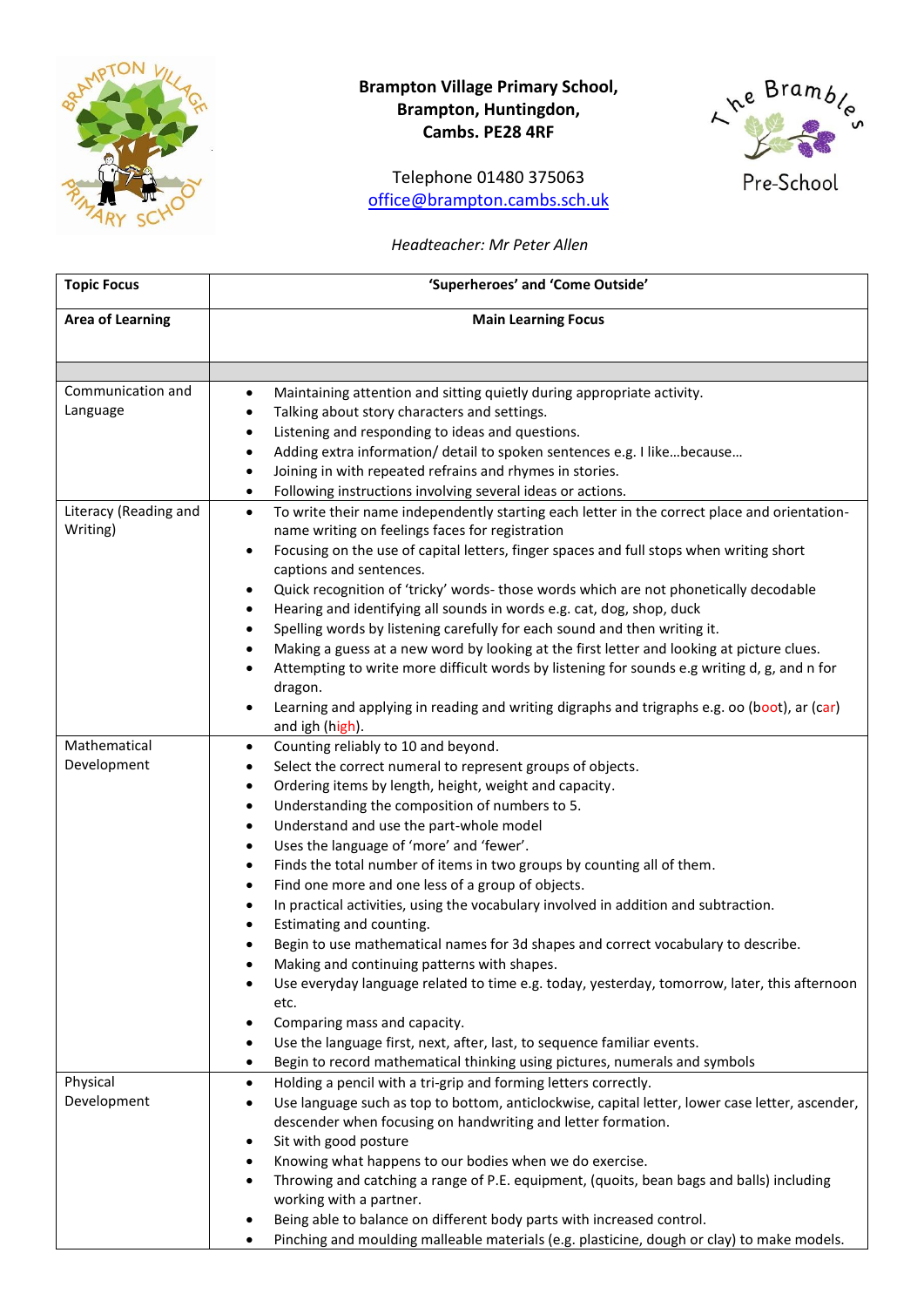

## **Brampton Village Primary School, Brampton, Huntingdon, Cambs. PE28 4RF**

Telephone 01480 375063 [office@brampton.cambs.sch.uk](mailto:office@brampton.cambs.sch.uk)



## *Headteacher: Mr Peter Allen*

| <b>Topic Focus</b>      | 'Superheroes' and 'Come Outside'                                                                                                                                 |
|-------------------------|------------------------------------------------------------------------------------------------------------------------------------------------------------------|
| <b>Area of Learning</b> | <b>Main Learning Focus</b>                                                                                                                                       |
|                         |                                                                                                                                                                  |
| Communication and       | Maintaining attention and sitting quietly during appropriate activity.<br>$\bullet$                                                                              |
| Language                | Talking about story characters and settings.<br>$\bullet$                                                                                                        |
|                         | Listening and responding to ideas and questions.<br>$\bullet$                                                                                                    |
|                         | Adding extra information/ detail to spoken sentences e.g. I likebecause<br>$\bullet$                                                                             |
|                         | Joining in with repeated refrains and rhymes in stories.<br>$\bullet$                                                                                            |
|                         | Following instructions involving several ideas or actions.<br>$\bullet$                                                                                          |
| Literacy (Reading and   | To write their name independently starting each letter in the correct place and orientation-<br>$\bullet$                                                        |
| Writing)                | name writing on feelings faces for registration                                                                                                                  |
|                         | Focusing on the use of capital letters, finger spaces and full stops when writing short<br>٠<br>captions and sentences.                                          |
|                         | Quick recognition of 'tricky' words- those words which are not phonetically decodable<br>$\bullet$                                                               |
|                         | Hearing and identifying all sounds in words e.g. cat, dog, shop, duck<br>$\bullet$                                                                               |
|                         | Spelling words by listening carefully for each sound and then writing it.<br>$\bullet$                                                                           |
|                         | Making a guess at a new word by looking at the first letter and looking at picture clues.<br>$\bullet$                                                           |
|                         | Attempting to write more difficult words by listening for sounds e.g writing d, g, and n for<br>$\bullet$                                                        |
|                         | dragon.                                                                                                                                                          |
|                         | Learning and applying in reading and writing digraphs and trigraphs e.g. oo (boot), ar (car)<br>٠                                                                |
|                         | and igh (high).                                                                                                                                                  |
| Mathematical            | Counting reliably to 10 and beyond.<br>$\bullet$                                                                                                                 |
| Development             | Select the correct numeral to represent groups of objects.<br>$\bullet$                                                                                          |
|                         | Ordering items by length, height, weight and capacity.<br>$\bullet$                                                                                              |
|                         | Understanding the composition of numbers to 5.<br>$\bullet$                                                                                                      |
|                         | Understand and use the part-whole model<br>$\bullet$                                                                                                             |
|                         | Uses the language of 'more' and 'fewer'.<br>$\bullet$                                                                                                            |
|                         | Finds the total number of items in two groups by counting all of them.<br>$\bullet$                                                                              |
|                         | Find one more and one less of a group of objects.<br>$\bullet$                                                                                                   |
|                         | In practical activities, using the vocabulary involved in addition and subtraction.<br>$\bullet$                                                                 |
|                         | Estimating and counting.                                                                                                                                         |
|                         | Begin to use mathematical names for 3d shapes and correct vocabulary to describe.                                                                                |
|                         | Making and continuing patterns with shapes.                                                                                                                      |
|                         | Use everyday language related to time e.g. today, yesterday, tomorrow, later, this afternoon                                                                     |
|                         | etc.                                                                                                                                                             |
|                         | Comparing mass and capacity.                                                                                                                                     |
|                         | Use the language first, next, after, last, to sequence familiar events.<br>٠                                                                                     |
|                         | Begin to record mathematical thinking using pictures, numerals and symbols<br>$\bullet$                                                                          |
| Physical                | Holding a pencil with a tri-grip and forming letters correctly.<br>$\bullet$                                                                                     |
| Development             | Use language such as top to bottom, anticlockwise, capital letter, lower case letter, ascender,<br>٠                                                             |
|                         | descender when focusing on handwriting and letter formation.                                                                                                     |
|                         | Sit with good posture<br>٠                                                                                                                                       |
|                         | Knowing what happens to our bodies when we do exercise.<br>$\bullet$<br>Throwing and catching a range of P.E. equipment, (quoits, bean bags and balls) including |
|                         | working with a partner.                                                                                                                                          |
|                         | Being able to balance on different body parts with increased control.                                                                                            |
|                         | Pinching and moulding malleable materials (e.g. plasticine, dough or clay) to make models.                                                                       |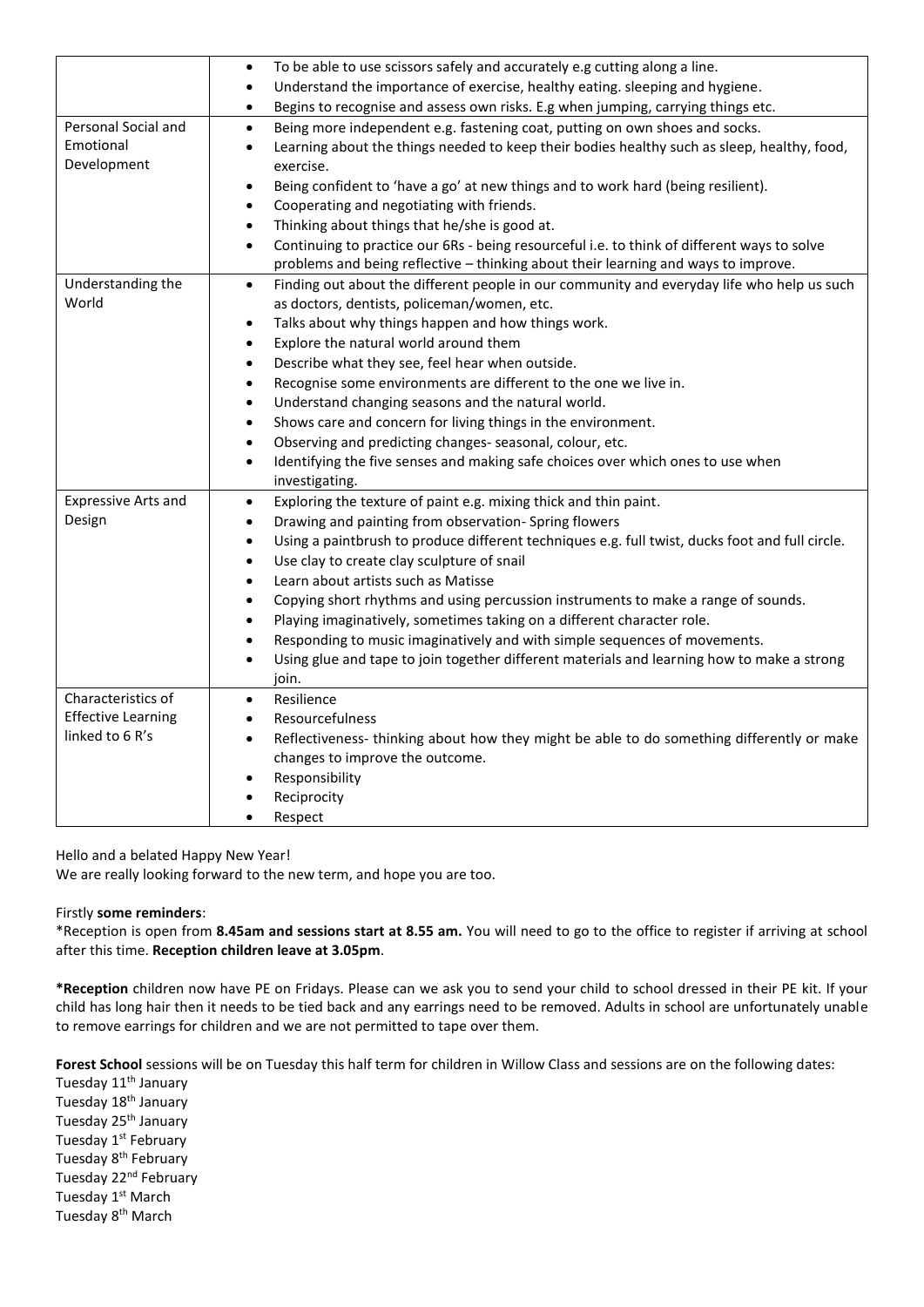|                            | To be able to use scissors safely and accurately e.g cutting along a line.<br>$\bullet$                      |
|----------------------------|--------------------------------------------------------------------------------------------------------------|
|                            | Understand the importance of exercise, healthy eating. sleeping and hygiene.<br>$\bullet$                    |
|                            | Begins to recognise and assess own risks. E.g when jumping, carrying things etc.<br>$\bullet$                |
| Personal Social and        | Being more independent e.g. fastening coat, putting on own shoes and socks.<br>$\bullet$                     |
| Emotional                  | Learning about the things needed to keep their bodies healthy such as sleep, healthy, food,<br>$\bullet$     |
| Development                | exercise.                                                                                                    |
|                            | Being confident to 'have a go' at new things and to work hard (being resilient).<br>$\bullet$                |
|                            | Cooperating and negotiating with friends.<br>$\bullet$                                                       |
|                            | Thinking about things that he/she is good at.<br>$\bullet$                                                   |
|                            | Continuing to practice our 6Rs - being resourceful i.e. to think of different ways to solve<br>$\bullet$     |
|                            | problems and being reflective - thinking about their learning and ways to improve.                           |
| Understanding the          | Finding out about the different people in our community and everyday life who help us such<br>$\bullet$      |
| World                      | as doctors, dentists, policeman/women, etc.                                                                  |
|                            | Talks about why things happen and how things work.<br>$\bullet$                                              |
|                            | Explore the natural world around them<br>$\bullet$                                                           |
|                            | Describe what they see, feel hear when outside.<br>$\bullet$                                                 |
|                            | Recognise some environments are different to the one we live in.<br>$\bullet$                                |
|                            | Understand changing seasons and the natural world.<br>$\bullet$                                              |
|                            | Shows care and concern for living things in the environment.<br>$\bullet$                                    |
|                            | Observing and predicting changes- seasonal, colour, etc.<br>$\bullet$                                        |
|                            | Identifying the five senses and making safe choices over which ones to use when<br>$\bullet$                 |
|                            | investigating.                                                                                               |
| <b>Expressive Arts and</b> | Exploring the texture of paint e.g. mixing thick and thin paint.<br>$\bullet$                                |
| Design                     | Drawing and painting from observation-Spring flowers<br>$\bullet$                                            |
|                            | Using a paintbrush to produce different techniques e.g. full twist, ducks foot and full circle.<br>$\bullet$ |
|                            | Use clay to create clay sculpture of snail<br>$\bullet$                                                      |
|                            | Learn about artists such as Matisse<br>$\bullet$                                                             |
|                            | Copying short rhythms and using percussion instruments to make a range of sounds.<br>$\bullet$               |
|                            | Playing imaginatively, sometimes taking on a different character role.<br>$\bullet$                          |
|                            | Responding to music imaginatively and with simple sequences of movements.<br>$\bullet$                       |
|                            | Using glue and tape to join together different materials and learning how to make a strong<br>$\bullet$      |
|                            | join.                                                                                                        |
| Characteristics of         | Resilience<br>$\bullet$                                                                                      |
| <b>Effective Learning</b>  | Resourcefulness<br>$\bullet$                                                                                 |
| linked to 6 R's            | Reflectiveness-thinking about how they might be able to do something differently or make<br>$\bullet$        |
|                            | changes to improve the outcome.                                                                              |
|                            | Responsibility<br>$\bullet$                                                                                  |
|                            | Reciprocity                                                                                                  |
|                            | Respect                                                                                                      |
|                            |                                                                                                              |

Hello and a belated Happy New Year!

We are really looking forward to the new term, and hope you are too.

## Firstly **some reminders**:

\*Reception is open from **8.45am and sessions start at 8.55 am.** You will need to go to the office to register if arriving at school after this time. **Reception children leave at 3.05pm**.

**\*Reception** children now have PE on Fridays. Please can we ask you to send your child to school dressed in their PE kit. If your child has long hair then it needs to be tied back and any earrings need to be removed. Adults in school are unfortunately unable to remove earrings for children and we are not permitted to tape over them.

**Forest School** sessions will be on Tuesday this half term for children in Willow Class and sessions are on the following dates:

Tuesday 11<sup>th</sup> January Tuesday 18<sup>th</sup> January Tuesday 25<sup>th</sup> January Tuesday 1st February Tuesday 8<sup>th</sup> February Tuesday 22<sup>nd</sup> February Tuesday 1<sup>st</sup> March Tuesday 8th March